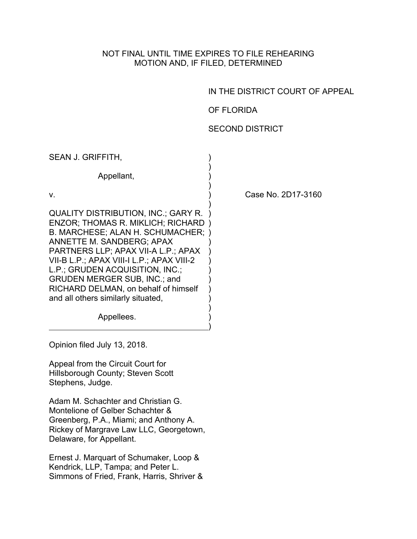### NOT FINAL UNTIL TIME EXPIRES TO FILE REHEARING MOTION AND, IF FILED, DETERMINED

)

## IN THE DISTRICT COURT OF APPEAL

# OF FLORIDA

# SECOND DISTRICT

| SEAN J. GRIFFITH,                                                                                                                                                                                                                                                                                                                                                                                          |  |
|------------------------------------------------------------------------------------------------------------------------------------------------------------------------------------------------------------------------------------------------------------------------------------------------------------------------------------------------------------------------------------------------------------|--|
| Appellant,                                                                                                                                                                                                                                                                                                                                                                                                 |  |
| v.                                                                                                                                                                                                                                                                                                                                                                                                         |  |
| <b>QUALITY DISTRIBUTION, INC.; GARY R.</b><br><b>ENZOR: THOMAS R. MIKLICH; RICHARD</b><br><b>B. MARCHESE; ALAN H. SCHUMACHER;</b><br>ANNETTE M. SANDBERG; APAX<br>PARTNERS LLP; APAX VII-A L.P.; APAX<br>VII-B L.P.; APAX VIII-I L.P.; APAX VIII-2<br>L.P.; GRUDEN ACQUISITION, INC.;<br><b>GRUDEN MERGER SUB, INC.; and</b><br>RICHARD DELMAN, on behalf of himself<br>and all others similarly situated, |  |
| Appellees.                                                                                                                                                                                                                                                                                                                                                                                                 |  |

Case No. 2D17-3160

Opinion filed July 13, 2018.

Appeal from the Circuit Court for Hillsborough County; Steven Scott Stephens, Judge.

Adam M. Schachter and Christian G. Montelione of Gelber Schachter & Greenberg, P.A., Miami; and Anthony A. Rickey of Margrave Law LLC, Georgetown, Delaware, for Appellant.

Ernest J. Marquart of Schumaker, Loop & Kendrick, LLP, Tampa; and Peter L. Simmons of Fried, Frank, Harris, Shriver &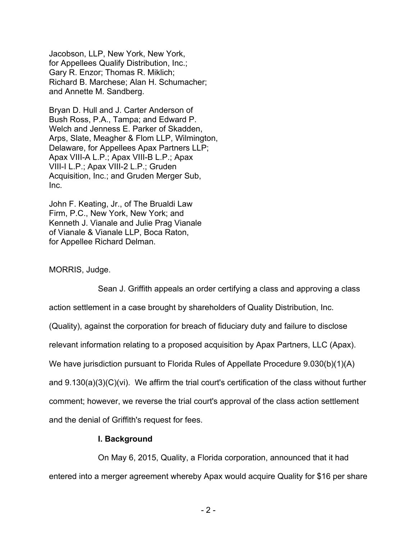Jacobson, LLP, New York, New York, for Appellees Qualify Distribution, Inc.; Gary R. Enzor; Thomas R. Miklich; Richard B. Marchese; Alan H. Schumacher; and Annette M. Sandberg.

Bryan D. Hull and J. Carter Anderson of Bush Ross, P.A., Tampa; and Edward P. Welch and Jenness E. Parker of Skadden, Arps, Slate, Meagher & Flom LLP, Wilmington, Delaware, for Appellees Apax Partners LLP; Apax VIII-A L.P.; Apax VIII-B L.P.; Apax VIII-I L.P.; Apax VIII-2 L.P.; Gruden Acquisition, Inc.; and Gruden Merger Sub, Inc.

John F. Keating, Jr., of The Brualdi Law Firm, P.C., New York, New York; and Kenneth J. Vianale and Julie Prag Vianale of Vianale & Vianale LLP, Boca Raton, for Appellee Richard Delman.

#### MORRIS, Judge.

Sean J. Griffith appeals an order certifying a class and approving a class action settlement in a case brought by shareholders of Quality Distribution, Inc. (Quality), against the corporation for breach of fiduciary duty and failure to disclose relevant information relating to a proposed acquisition by Apax Partners, LLC (Apax). We have jurisdiction pursuant to Florida Rules of Appellate Procedure 9.030(b)(1)(A) and 9.130(a)(3)(C)(vi). We affirm the trial court's certification of the class without further comment; however, we reverse the trial court's approval of the class action settlement and the denial of Griffith's request for fees.

#### **I. Background**

On May 6, 2015, Quality, a Florida corporation, announced that it had entered into a merger agreement whereby Apax would acquire Quality for \$16 per share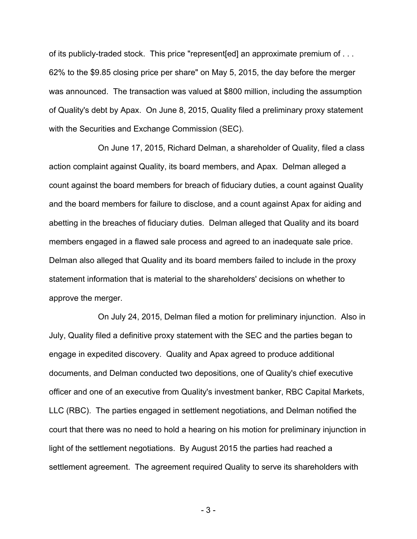of its publicly-traded stock. This price "represent[ed] an approximate premium of . . . 62% to the \$9.85 closing price per share" on May 5, 2015, the day before the merger was announced. The transaction was valued at \$800 million, including the assumption of Quality's debt by Apax. On June 8, 2015, Quality filed a preliminary proxy statement with the Securities and Exchange Commission (SEC).

On June 17, 2015, Richard Delman, a shareholder of Quality, filed a class action complaint against Quality, its board members, and Apax. Delman alleged a count against the board members for breach of fiduciary duties, a count against Quality and the board members for failure to disclose, and a count against Apax for aiding and abetting in the breaches of fiduciary duties. Delman alleged that Quality and its board members engaged in a flawed sale process and agreed to an inadequate sale price. Delman also alleged that Quality and its board members failed to include in the proxy statement information that is material to the shareholders' decisions on whether to approve the merger.

On July 24, 2015, Delman filed a motion for preliminary injunction. Also in July, Quality filed a definitive proxy statement with the SEC and the parties began to engage in expedited discovery. Quality and Apax agreed to produce additional documents, and Delman conducted two depositions, one of Quality's chief executive officer and one of an executive from Quality's investment banker, RBC Capital Markets, LLC (RBC). The parties engaged in settlement negotiations, and Delman notified the court that there was no need to hold a hearing on his motion for preliminary injunction in light of the settlement negotiations. By August 2015 the parties had reached a settlement agreement. The agreement required Quality to serve its shareholders with

- 3 -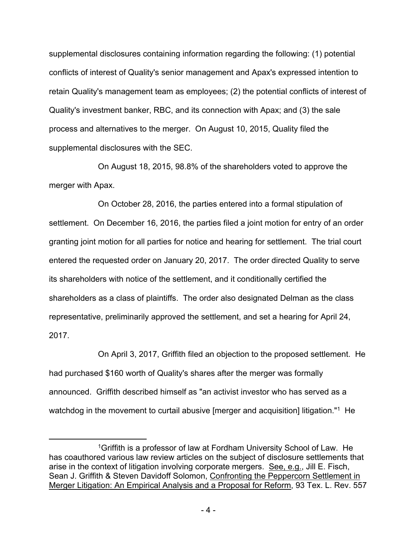supplemental disclosures containing information regarding the following: (1) potential conflicts of interest of Quality's senior management and Apax's expressed intention to retain Quality's management team as employees; (2) the potential conflicts of interest of Quality's investment banker, RBC, and its connection with Apax; and (3) the sale process and alternatives to the merger. On August 10, 2015, Quality filed the supplemental disclosures with the SEC.

On August 18, 2015, 98.8% of the shareholders voted to approve the merger with Apax.

On October 28, 2016, the parties entered into a formal stipulation of settlement. On December 16, 2016, the parties filed a joint motion for entry of an order granting joint motion for all parties for notice and hearing for settlement. The trial court entered the requested order on January 20, 2017. The order directed Quality to serve its shareholders with notice of the settlement, and it conditionally certified the shareholders as a class of plaintiffs. The order also designated Delman as the class representative, preliminarily approved the settlement, and set a hearing for April 24, 2017.

On April 3, 2017, Griffith filed an objection to the proposed settlement. He had purchased \$160 worth of Quality's shares after the merger was formally announced. Griffith described himself as "an activist investor who has served as a watchdog in the movement to curtail abusive [merger and acquisition] litigation."<sup>1</sup> He

<sup>1</sup>Griffith is a professor of law at Fordham University School of Law. He has coauthored various law review articles on the subject of disclosure settlements that arise in the context of litigation involving corporate mergers. See, e.g., Jill E. Fisch, Sean J. Griffith & Steven Davidoff Solomon, Confronting the Peppercorn Settlement in Merger Litigation: An Empirical Analysis and a Proposal for Reform, 93 Tex. L. Rev. 557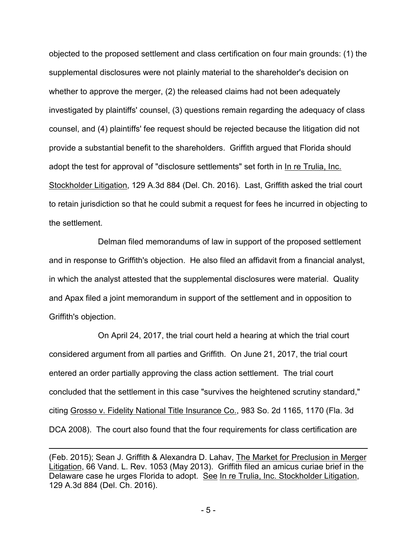objected to the proposed settlement and class certification on four main grounds: (1) the supplemental disclosures were not plainly material to the shareholder's decision on whether to approve the merger, (2) the released claims had not been adequately investigated by plaintiffs' counsel, (3) questions remain regarding the adequacy of class counsel, and (4) plaintiffs' fee request should be rejected because the litigation did not provide a substantial benefit to the shareholders. Griffith argued that Florida should adopt the test for approval of "disclosure settlements" set forth in In re Trulia, Inc. Stockholder Litigation, 129 A.3d 884 (Del. Ch. 2016). Last, Griffith asked the trial court to retain jurisdiction so that he could submit a request for fees he incurred in objecting to the settlement.

Delman filed memorandums of law in support of the proposed settlement and in response to Griffith's objection. He also filed an affidavit from a financial analyst, in which the analyst attested that the supplemental disclosures were material. Quality and Apax filed a joint memorandum in support of the settlement and in opposition to Griffith's objection.

On April 24, 2017, the trial court held a hearing at which the trial court considered argument from all parties and Griffith. On June 21, 2017, the trial court entered an order partially approving the class action settlement. The trial court concluded that the settlement in this case "survives the heightened scrutiny standard," citing Grosso v. Fidelity National Title Insurance Co., 983 So. 2d 1165, 1170 (Fla. 3d DCA 2008). The court also found that the four requirements for class certification are

<sup>(</sup>Feb. 2015); Sean J. Griffith & Alexandra D. Lahav, The Market for Preclusion in Merger Litigation, 66 Vand. L. Rev. 1053 (May 2013). Griffith filed an amicus curiae brief in the Delaware case he urges Florida to adopt. See In re Trulia, Inc. Stockholder Litigation, 129 A.3d 884 (Del. Ch. 2016).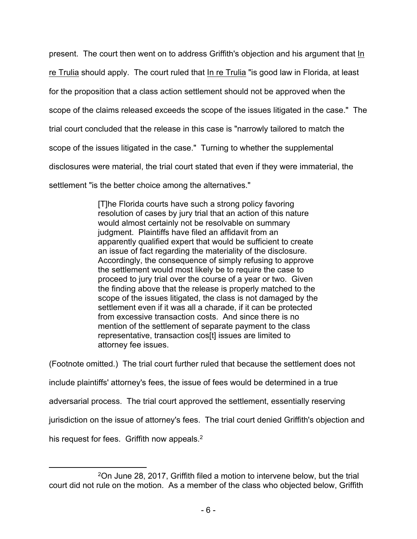present. The court then went on to address Griffith's objection and his argument that In re Trulia should apply. The court ruled that In re Trulia "is good law in Florida, at least for the proposition that a class action settlement should not be approved when the scope of the claims released exceeds the scope of the issues litigated in the case." The trial court concluded that the release in this case is "narrowly tailored to match the scope of the issues litigated in the case." Turning to whether the supplemental disclosures were material, the trial court stated that even if they were immaterial, the settlement "is the better choice among the alternatives."

> [T]he Florida courts have such a strong policy favoring resolution of cases by jury trial that an action of this nature would almost certainly not be resolvable on summary judgment. Plaintiffs have filed an affidavit from an apparently qualified expert that would be sufficient to create an issue of fact regarding the materiality of the disclosure. Accordingly, the consequence of simply refusing to approve the settlement would most likely be to require the case to proceed to jury trial over the course of a year or two. Given the finding above that the release is properly matched to the scope of the issues litigated, the class is not damaged by the settlement even if it was all a charade, if it can be protected from excessive transaction costs. And since there is no mention of the settlement of separate payment to the class representative, transaction cos[t] issues are limited to attorney fee issues.

(Footnote omitted.) The trial court further ruled that because the settlement does not include plaintiffs' attorney's fees, the issue of fees would be determined in a true adversarial process. The trial court approved the settlement, essentially reserving jurisdiction on the issue of attorney's fees. The trial court denied Griffith's objection and his request for fees. Griffith now appeals.<sup>2</sup>

<sup>2</sup>On June 28, 2017, Griffith filed a motion to intervene below, but the trial court did not rule on the motion. As a member of the class who objected below, Griffith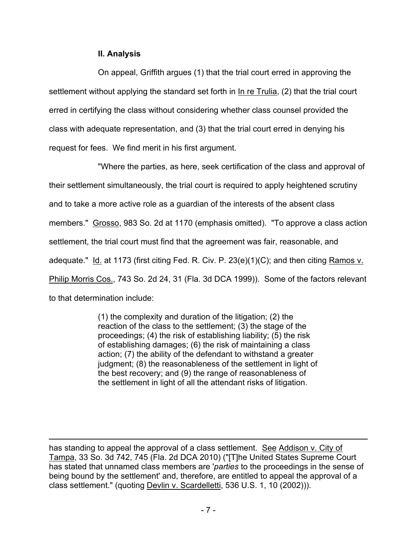# **II. Analysis**

On appeal, Griffith argues (1) that the trial court erred in approving the settlement without applying the standard set forth in In re Trulia, (2) that the trial court erred in certifying the class without considering whether class counsel provided the class with adequate representation, and (3) that the trial court erred in denying his request for fees. We find merit in his first argument.

"Where the parties, as here, seek certification of the class and approval of their settlement simultaneously, the trial court is required to apply heightened scrutiny and to take a more active role as a guardian of the interests of the absent class members." Grosso, 983 So. 2d at 1170 (emphasis omitted). "To approve a class action settlement, the trial court must find that the agreement was fair, reasonable, and adequate."  $Id.$  at 1173 (first citing Fed. R. Civ. P. 23(e)(1)(C); and then citing Ramos v. Philip Morris Cos., 743 So. 2d 24, 31 (Fla. 3d DCA 1999)). Some of the factors relevant to that determination include:

> (1) the complexity and duration of the litigation; (2) the reaction of the class to the settlement; (3) the stage of the proceedings; (4) the risk of establishing liability; (5) the risk of establishing damages; (6) the risk of maintaining a class action; (7) the ability of the defendant to withstand a greater judgment; (8) the reasonableness of the settlement in light of the best recovery; and (9) the range of reasonableness of the settlement in light of all the attendant risks of litigation.

has standing to appeal the approval of a class settlement. See Addison v. City of Tampa, 33 So. 3d 742, 745 (Fla. 2d DCA 2010) ("[T]he United States Supreme Court has stated that unnamed class members are '*parties* to the proceedings in the sense of being bound by the settlement' and, therefore, are entitled to appeal the approval of a class settlement." (quoting Devlin v. Scardelletti, 536 U.S. 1, 10 (2002))).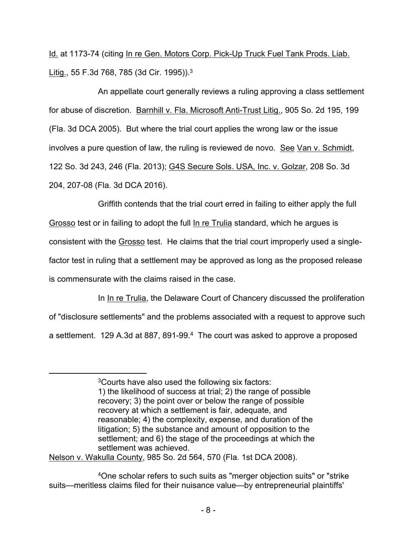Id. at 1173-74 (citing In re Gen. Motors Corp. Pick-Up Truck Fuel Tank Prods. Liab. Litig., 55 F.3d 768, 785 (3d Cir. 1995)).<sup>3</sup>

An appellate court generally reviews a ruling approving a class settlement for abuse of discretion. Barnhill v. Fla. Microsoft Anti-Trust Litig., 905 So. 2d 195, 199 (Fla. 3d DCA 2005). But where the trial court applies the wrong law or the issue involves a pure question of law, the ruling is reviewed de novo. See Van v. Schmidt, 122 So. 3d 243, 246 (Fla. 2013); G4S Secure Sols. USA, Inc. v. Golzar, 208 So. 3d 204, 207-08 (Fla. 3d DCA 2016).

Griffith contends that the trial court erred in failing to either apply the full Grosso test or in failing to adopt the full In re Trulia standard, which he argues is consistent with the Grosso test. He claims that the trial court improperly used a singlefactor test in ruling that a settlement may be approved as long as the proposed release is commensurate with the claims raised in the case.

In In re Trulia, the Delaware Court of Chancery discussed the proliferation of "disclosure settlements" and the problems associated with a request to approve such a settlement. 129 A.3d at 887, 891-99.<sup>4</sup> The court was asked to approve a proposed

Nelson v. Wakulla County, 985 So. 2d 564, 570 (Fla. 1st DCA 2008).

<sup>3</sup>Courts have also used the following six factors: 1) the likelihood of success at trial; 2) the range of possible recovery; 3) the point over or below the range of possible recovery at which a settlement is fair, adequate, and reasonable; 4) the complexity, expense, and duration of the litigation; 5) the substance and amount of opposition to the settlement; and 6) the stage of the proceedings at which the settlement was achieved.

<sup>4</sup>One scholar refers to such suits as "merger objection suits" or "strike suits—meritless claims filed for their nuisance value—by entrepreneurial plaintiffs'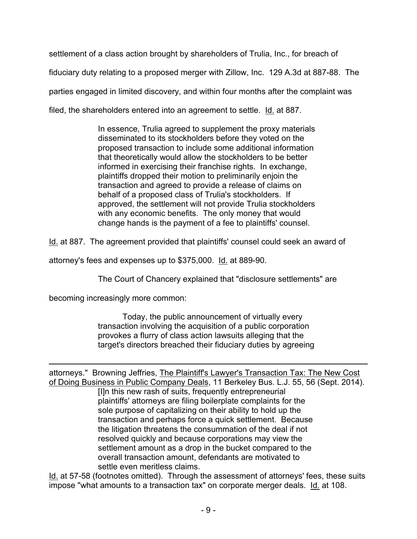settlement of a class action brought by shareholders of Trulia, Inc., for breach of fiduciary duty relating to a proposed merger with Zillow, Inc. 129 A.3d at 887-88. The parties engaged in limited discovery, and within four months after the complaint was filed, the shareholders entered into an agreement to settle. Id. at 887.

> In essence, Trulia agreed to supplement the proxy materials disseminated to its stockholders before they voted on the proposed transaction to include some additional information that theoretically would allow the stockholders to be better informed in exercising their franchise rights. In exchange, plaintiffs dropped their motion to preliminarily enjoin the transaction and agreed to provide a release of claims on behalf of a proposed class of Trulia's stockholders. If approved, the settlement will not provide Trulia stockholders with any economic benefits. The only money that would change hands is the payment of a fee to plaintiffs' counsel.

Id. at 887. The agreement provided that plaintiffs' counsel could seek an award of

attorney's fees and expenses up to \$375,000. Id. at 889-90.

The Court of Chancery explained that "disclosure settlements" are

becoming increasingly more common:

Today, the public announcement of virtually every transaction involving the acquisition of a public corporation provokes a flurry of class action lawsuits alleging that the target's directors breached their fiduciary duties by agreeing

attorneys." Browning Jeffries, The Plaintiff's Lawyer's Transaction Tax: The New Cost of Doing Business in Public Company Deals, 11 Berkeley Bus. L.J. 55, 56 (Sept. 2014).

[I]n this new rash of suits, frequently entrepreneurial plaintiffs' attorneys are filing boilerplate complaints for the sole purpose of capitalizing on their ability to hold up the transaction and perhaps force a quick settlement. Because the litigation threatens the consummation of the deal if not resolved quickly and because corporations may view the settlement amount as a drop in the bucket compared to the overall transaction amount, defendants are motivated to settle even meritless claims.

Id. at 57-58 (footnotes omitted). Through the assessment of attorneys' fees, these suits impose "what amounts to a transaction tax" on corporate merger deals. Id. at 108.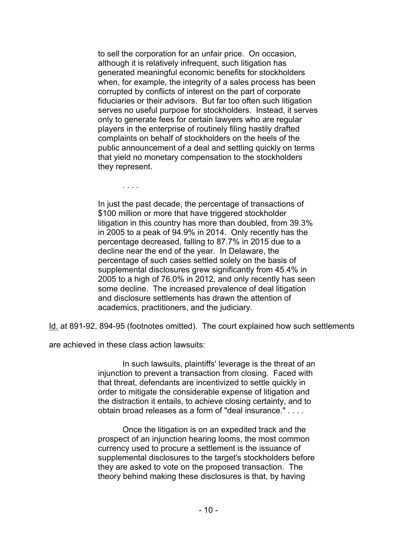to sell the corporation for an unfair price. On occasion, although it is relatively infrequent, such litigation has generated meaningful economic benefits for stockholders when, for example, the integrity of a sales process has been corrupted by conflicts of interest on the part of corporate fiduciaries or their advisors. But far too often such litigation serves no useful purpose for stockholders. Instead, it serves only to generate fees for certain lawyers who are regular players in the enterprise of routinely filing hastily drafted complaints on behalf of stockholders on the heels of the public announcement of a deal and settling quickly on terms that yield no monetary compensation to the stockholders they represent.

. . . .

In just the past decade, the percentage of transactions of \$100 million or more that have triggered stockholder litigation in this country has more than doubled, from 39.3% in 2005 to a peak of 94.9% in 2014. Only recently has the percentage decreased, falling to 87.7% in 2015 due to a decline near the end of the year. In Delaware, the percentage of such cases settled solely on the basis of supplemental disclosures grew significantly from 45.4% in 2005 to a high of 76.0% in 2012, and only recently has seen some decline. The increased prevalence of deal litigation and disclosure settlements has drawn the attention of academics, practitioners, and the judiciary.

Id. at 891-92, 894-95 (footnotes omitted). The court explained how such settlements

are achieved in these class action lawsuits:

In such lawsuits, plaintiffs' leverage is the threat of an injunction to prevent a transaction from closing. Faced with that threat, defendants are incentivized to settle quickly in order to mitigate the considerable expense of litigation and the distraction it entails, to achieve closing certainty, and to obtain broad releases as a form of "deal insurance." . . . .

Once the litigation is on an expedited track and the prospect of an injunction hearing looms, the most common currency used to procure a settlement is the issuance of supplemental disclosures to the target's stockholders before they are asked to vote on the proposed transaction. The theory behind making these disclosures is that, by having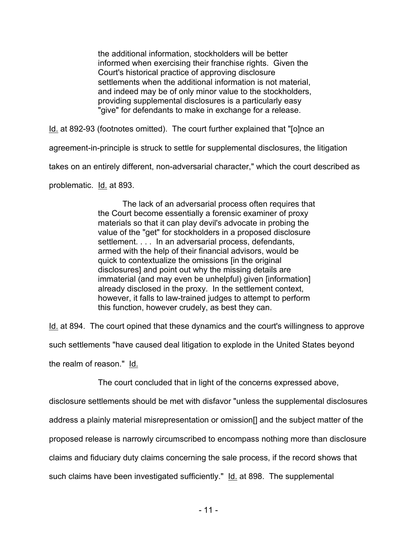the additional information, stockholders will be better informed when exercising their franchise rights. Given the Court's historical practice of approving disclosure settlements when the additional information is not material, and indeed may be of only minor value to the stockholders, providing supplemental disclosures is a particularly easy "give" for defendants to make in exchange for a release.

Id. at 892-93 (footnotes omitted). The court further explained that "[o]nce an

agreement-in-principle is struck to settle for supplemental disclosures, the litigation

takes on an entirely different, non-adversarial character," which the court described as

problematic. Id. at 893.

The lack of an adversarial process often requires that the Court become essentially a forensic examiner of proxy materials so that it can play devil's advocate in probing the value of the "get" for stockholders in a proposed disclosure settlement. . . . In an adversarial process, defendants, armed with the help of their financial advisors, would be quick to contextualize the omissions [in the original disclosures] and point out why the missing details are immaterial (and may even be unhelpful) given [information] already disclosed in the proxy. In the settlement context, however, it falls to law-trained judges to attempt to perform this function, however crudely, as best they can.

Id. at 894. The court opined that these dynamics and the court's willingness to approve

such settlements "have caused deal litigation to explode in the United States beyond

the realm of reason." Id.

The court concluded that in light of the concerns expressed above,

disclosure settlements should be met with disfavor "unless the supplemental disclosures

address a plainly material misrepresentation or omission[] and the subject matter of the

proposed release is narrowly circumscribed to encompass nothing more than disclosure

claims and fiduciary duty claims concerning the sale process, if the record shows that

such claims have been investigated sufficiently." Id. at 898. The supplemental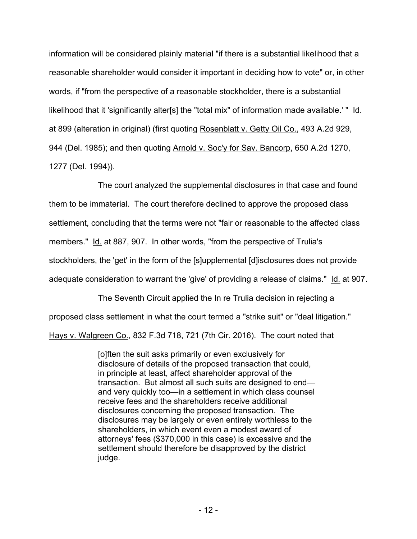information will be considered plainly material "if there is a substantial likelihood that a reasonable shareholder would consider it important in deciding how to vote" or, in other words, if "from the perspective of a reasonable stockholder, there is a substantial likelihood that it 'significantly alter[s] the "total mix" of information made available.' " Id. at 899 (alteration in original) (first quoting Rosenblatt v. Getty Oil Co., 493 A.2d 929, 944 (Del. 1985); and then quoting Arnold v. Soc'y for Sav. Bancorp, 650 A.2d 1270, 1277 (Del. 1994)).

The court analyzed the supplemental disclosures in that case and found them to be immaterial. The court therefore declined to approve the proposed class settlement, concluding that the terms were not "fair or reasonable to the affected class members." Id. at 887, 907. In other words, "from the perspective of Trulia's stockholders, the 'get' in the form of the [s]upplemental [d]isclosures does not provide adequate consideration to warrant the 'give' of providing a release of claims." Id. at 907.

The Seventh Circuit applied the In re Trulia decision in rejecting a proposed class settlement in what the court termed a "strike suit" or "deal litigation." Hays v. Walgreen Co., 832 F.3d 718, 721 (7th Cir. 2016). The court noted that

> [o]ften the suit asks primarily or even exclusively for disclosure of details of the proposed transaction that could, in principle at least, affect shareholder approval of the transaction. But almost all such suits are designed to end and very quickly too—in a settlement in which class counsel receive fees and the shareholders receive additional disclosures concerning the proposed transaction. The disclosures may be largely or even entirely worthless to the shareholders, in which event even a modest award of attorneys' fees (\$370,000 in this case) is excessive and the settlement should therefore be disapproved by the district judge.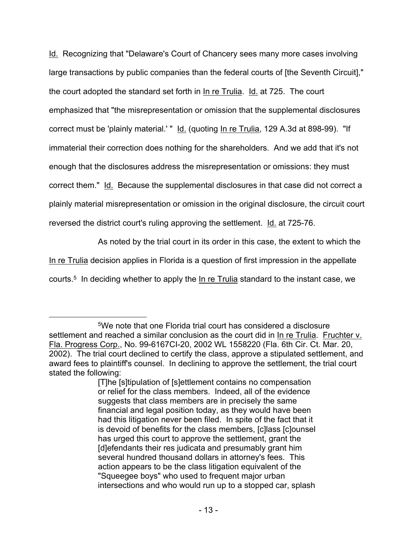Id. Recognizing that "Delaware's Court of Chancery sees many more cases involving large transactions by public companies than the federal courts of [the Seventh Circuit]," the court adopted the standard set forth in In re Trulia. Id. at 725. The court emphasized that "the misrepresentation or omission that the supplemental disclosures correct must be 'plainly material.' " Id. (quoting In re Trulia, 129 A.3d at 898-99). "If immaterial their correction does nothing for the shareholders. And we add that it's not enough that the disclosures address the misrepresentation or omissions: they must correct them." Id. Because the supplemental disclosures in that case did not correct a plainly material misrepresentation or omission in the original disclosure, the circuit court reversed the district court's ruling approving the settlement. Id. at 725-76.

As noted by the trial court in its order in this case, the extent to which the

In re Trulia decision applies in Florida is a question of first impression in the appellate

courts.<sup>5</sup> In deciding whether to apply the In re Trulia standard to the instant case, we

<sup>5</sup>We note that one Florida trial court has considered a disclosure settlement and reached a similar conclusion as the court did in In re Trulia. Fruchter v. Fla. Progress Corp., No. 99-6167CI-20, 2002 WL 1558220 (Fla. 6th Cir. Ct. Mar. 20, 2002). The trial court declined to certify the class, approve a stipulated settlement, and award fees to plaintiff's counsel. In declining to approve the settlement, the trial court stated the following:

<sup>[</sup>T]he [s]tipulation of [s]ettlement contains no compensation or relief for the class members. Indeed, all of the evidence suggests that class members are in precisely the same financial and legal position today, as they would have been had this litigation never been filed. In spite of the fact that it is devoid of benefits for the class members, [c]lass [c]ounsel has urged this court to approve the settlement, grant the [d]efendants their res judicata and presumably grant him several hundred thousand dollars in attorney's fees. This action appears to be the class litigation equivalent of the "Squeegee boys" who used to frequent major urban intersections and who would run up to a stopped car, splash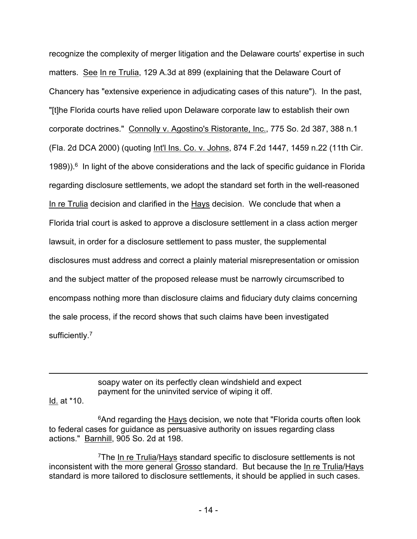recognize the complexity of merger litigation and the Delaware courts' expertise in such matters. See In re Trulia, 129 A.3d at 899 (explaining that the Delaware Court of Chancery has "extensive experience in adjudicating cases of this nature"). In the past, "[t]he Florida courts have relied upon Delaware corporate law to establish their own corporate doctrines." Connolly v. Agostino's Ristorante, Inc., 775 So. 2d 387, 388 n.1 (Fla. 2d DCA 2000) (quoting Int'l Ins. Co. v. Johns, 874 F.2d 1447, 1459 n.22 (11th Cir.  $1989)$ ).<sup>6</sup> In light of the above considerations and the lack of specific guidance in Florida regarding disclosure settlements, we adopt the standard set forth in the well-reasoned In re Trulia decision and clarified in the Hays decision. We conclude that when a Florida trial court is asked to approve a disclosure settlement in a class action merger lawsuit, in order for a disclosure settlement to pass muster, the supplemental disclosures must address and correct a plainly material misrepresentation or omission and the subject matter of the proposed release must be narrowly circumscribed to encompass nothing more than disclosure claims and fiduciary duty claims concerning the sale process, if the record shows that such claims have been investigated sufficiently.<sup>7</sup>

> soapy water on its perfectly clean windshield and expect payment for the uninvited service of wiping it off.

### Id. at \*10.

<sup>6</sup>And regarding the Hays decision, we note that "Florida courts often look to federal cases for guidance as persuasive authority on issues regarding class actions." Barnhill, 905 So. 2d at 198.

<sup>7</sup>The In re Trulia/Hays standard specific to disclosure settlements is not inconsistent with the more general Grosso standard. But because the In re Trulia/Hays standard is more tailored to disclosure settlements, it should be applied in such cases.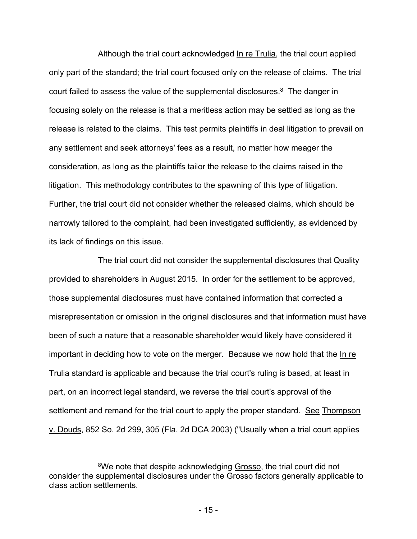Although the trial court acknowledged In re Trulia, the trial court applied only part of the standard; the trial court focused only on the release of claims. The trial court failed to assess the value of the supplemental disclosures. $8$  The danger in focusing solely on the release is that a meritless action may be settled as long as the release is related to the claims. This test permits plaintiffs in deal litigation to prevail on any settlement and seek attorneys' fees as a result, no matter how meager the consideration, as long as the plaintiffs tailor the release to the claims raised in the litigation. This methodology contributes to the spawning of this type of litigation. Further, the trial court did not consider whether the released claims, which should be narrowly tailored to the complaint, had been investigated sufficiently, as evidenced by its lack of findings on this issue.

The trial court did not consider the supplemental disclosures that Quality provided to shareholders in August 2015. In order for the settlement to be approved, those supplemental disclosures must have contained information that corrected a misrepresentation or omission in the original disclosures and that information must have been of such a nature that a reasonable shareholder would likely have considered it important in deciding how to vote on the merger. Because we now hold that the In re Trulia standard is applicable and because the trial court's ruling is based, at least in part, on an incorrect legal standard, we reverse the trial court's approval of the settlement and remand for the trial court to apply the proper standard. See Thompson v. Douds, 852 So. 2d 299, 305 (Fla. 2d DCA 2003) ("Usually when a trial court applies

<sup>&</sup>lt;sup>8</sup>We note that despite acknowledging Grosso, the trial court did not consider the supplemental disclosures under the Grosso factors generally applicable to class action settlements.